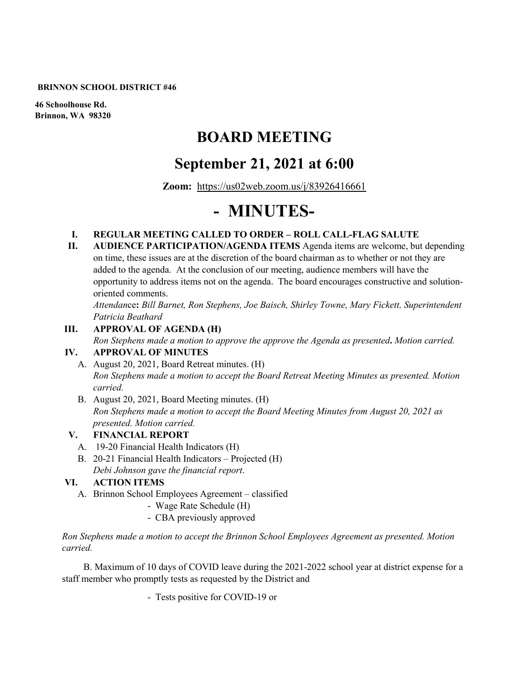#### **BRINNON SCHOOL DISTRICT #46**

**46 Schoolhouse Rd. Brinnon, WA 98320**

# **BOARD MEETING**

# **September 21, 2021 at 6:00**

**Zoom:** <https://us02web.zoom.us/j/83926416661>

# **- MINUTES-**

#### **I. REGULAR MEETING CALLED TO ORDER – ROLL CALL-FLAG SALUTE**

**II. AUDIENCE PARTICIPATION/AGENDA ITEMS** Agenda items are welcome, but depending on time, these issues are at the discretion of the board chairman as to whether or not they are added to the agenda. At the conclusion of our meeting, audience members will have the opportunity to address items not on the agenda. The board encourages constructive and solutionoriented comments.

*Attendan*ce**:** *Bill Barnet, Ron Stephens, Joe Baisch, Shirley Towne, Mary Fickett, Superintendent Patricia Beathard*

#### **III. APPROVAL OF AGENDA (H)**

*Ron Stephens made a motion to approve the approve the Agenda as presented***.** *Motion carried.* **IV. APPROVAL OF MINUTES**

- A. August 20, 2021, Board Retreat minutes. (H) *Ron Stephens made a motion to accept the Board Retreat Meeting Minutes as presented. Motion carried.*
- B. August 20, 2021, Board Meeting minutes. (H) *Ron Stephens made a motion to accept the Board Meeting Minutes from August 20, 2021 as presented. Motion carried.*

#### **V. FINANCIAL REPORT**

- A. 19-20 Financial Health Indicators (H)
- B. 20-21 Financial Health Indicators Projected (H) *Debi Johnson gave the financial report*.

#### **VI. ACTION ITEMS**

- A. Brinnon School Employees Agreement classified
	- Wage Rate Schedule (H)
	- CBA previously approved

*Ron Stephens made a motion to accept the Brinnon School Employees Agreement as presented. Motion carried.*

 B. Maximum of 10 days of COVID leave during the 2021-2022 school year at district expense for a staff member who promptly tests as requested by the District and

- Tests positive for COVID-19 or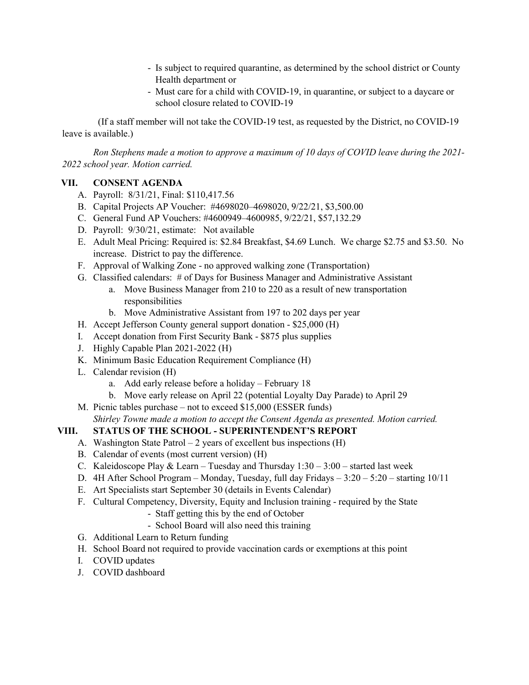- Is subject to required quarantine, as determined by the school district or County Health department or
- Must care for a child with COVID-19, in quarantine, or subject to a daycare or school closure related to COVID-19

 (If a staff member will not take the COVID-19 test, as requested by the District, no COVID-19 leave is available.)

*Ron Stephens made a motion to approve a maximum of 10 days of COVID leave during the 2021- 2022 school year. Motion carried.*

#### **VII. CONSENT AGENDA**

- A. Payroll: 8/31/21, Final: \$110,417.56
- B. Capital Projects AP Voucher: #4698020–4698020, 9/22/21, \$3,500.00
- C. General Fund AP Vouchers: #4600949–4600985, 9/22/21, \$57,132.29
- D. Payroll: 9/30/21, estimate: Not available
- E. Adult Meal Pricing: Required is: \$2.84 Breakfast, \$4.69 Lunch. We charge \$2.75 and \$3.50. No increase. District to pay the difference.
- F. Approval of Walking Zone no approved walking zone (Transportation)
- G. Classified calendars: # of Days for Business Manager and Administrative Assistant
	- a. Move Business Manager from 210 to 220 as a result of new transportation responsibilities
	- b. Move Administrative Assistant from 197 to 202 days per year
- H. Accept Jefferson County general support donation \$25,000 (H)
- I. Accept donation from First Security Bank \$875 plus supplies
- J. Highly Capable Plan 2021-2022 (H)
- K. Minimum Basic Education Requirement Compliance (H)
- L. Calendar revision (H)
	- a. Add early release before a holiday February 18
	- b. Move early release on April 22 (potential Loyalty Day Parade) to April 29
- M. Picnic tables purchase not to exceed \$15,000 (ESSER funds) *Shirley Towne made a motion to accept the Consent Agenda as presented. Motion carried.*

### **VIII. STATUS OF THE SCHOOL - SUPERINTENDENT'S REPORT**

- A. Washington State Patrol  $-2$  years of excellent bus inspections (H)
- B. Calendar of events (most current version) (H)
- C. Kaleidoscope Play & Learn Tuesday and Thursday  $1:30 3:00$  started last week
- D. 4H After School Program Monday, Tuesday, full day Fridays 3:20 5:20 starting 10/11
- E. Art Specialists start September 30 (details in Events Calendar)
- F. Cultural Competency, Diversity, Equity and Inclusion training required by the State
	- Staff getting this by the end of October
	- School Board will also need this training
- G. Additional Learn to Return funding
- H. School Board not required to provide vaccination cards or exemptions at this point
- I. COVID updates
- J. COVID dashboard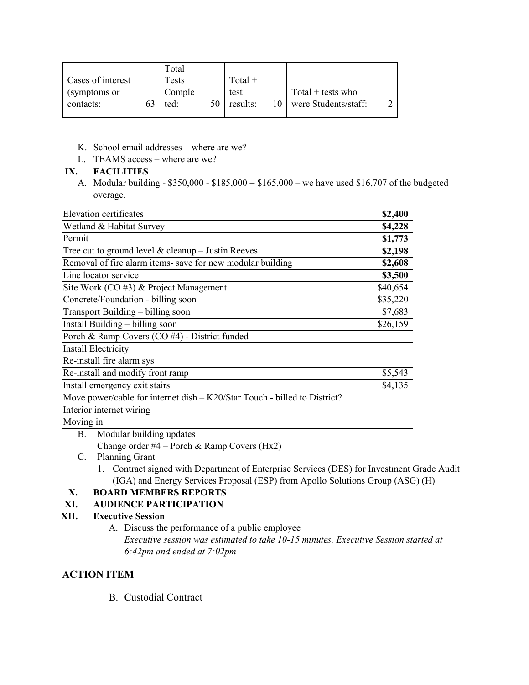|                   | Total        |    |           |                      |  |
|-------------------|--------------|----|-----------|----------------------|--|
| Cases of interest | <b>Tests</b> |    | $Total +$ |                      |  |
| (symptoms or      | Comple       |    | test      | $Total + tests who$  |  |
| contacts:         | ted:         | 50 | results:  | were Students/staff: |  |
|                   |              |    |           |                      |  |

- K. School email addresses where are we?
- L. TEAMS access where are we?

## **IX. FACILITIES**

A. Modular building - \$350,000 - \$185,000 = \$165,000 – we have used \$16,707 of the budgeted overage.

| Elevation certificates                                                    | \$2,400  |
|---------------------------------------------------------------------------|----------|
| Wetland & Habitat Survey                                                  | \$4,228  |
| Permit                                                                    | \$1,773  |
| Tree cut to ground level $&$ cleanup - Justin Reeves                      | \$2,198  |
| Removal of fire alarm items- save for new modular building                | \$2,608  |
| Line locator service                                                      | \$3,500  |
| Site Work $(CO \#3)$ & Project Management                                 | \$40,654 |
| Concrete/Foundation - billing soon                                        | \$35,220 |
| Transport Building - billing soon                                         | \$7,683  |
| Install Building – billing soon                                           | \$26,159 |
| Porch & Ramp Covers (CO #4) - District funded                             |          |
| Install Electricity                                                       |          |
| Re-install fire alarm sys                                                 |          |
| Re-install and modify front ramp                                          | \$5,543  |
| Install emergency exit stairs                                             | \$4,135  |
| Move power/cable for internet dish - K20/Star Touch - billed to District? |          |
| Interior internet wiring                                                  |          |
| Moving in                                                                 |          |

B. Modular building updates Change order #4 – Porch & Ramp Covers (Hx2)

- C. Planning Grant
	- 1. Contract signed with Department of Enterprise Services (DES) for Investment Grade Audit (IGA) and Energy Services Proposal (ESP) from Apollo Solutions Group (ASG) (H)

# **X. BOARD MEMBERS REPORTS**

## **XI. AUDIENCE PARTICIPATION**

## **XII. Executive Session**

A. Discuss the performance of a public employee *Executive session was estimated to take 10-15 minutes. Executive Session started at 6:42pm and ended at 7:02pm*

# **ACTION ITEM**

B. Custodial Contract